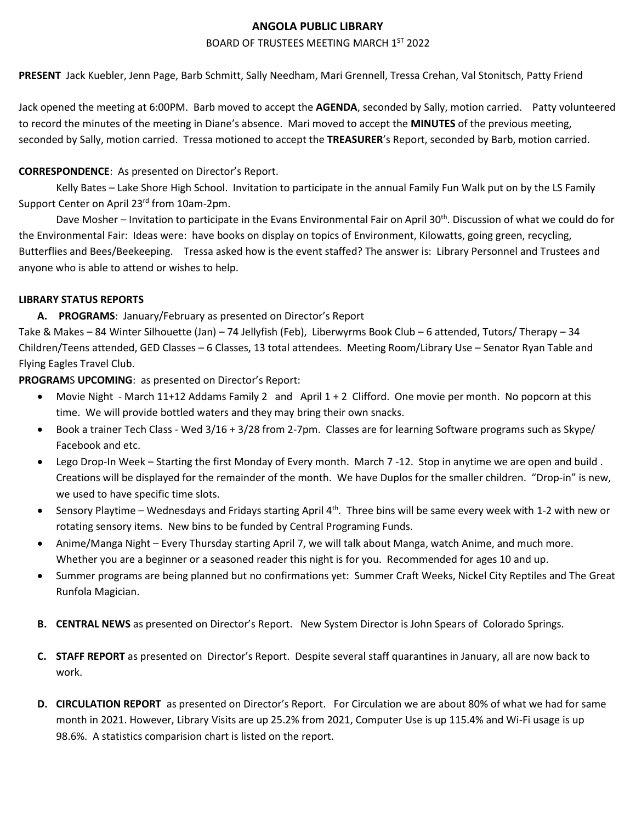## **ANGOLA PUBLIC LIBRARY**

#### BOARD OF TRUSTEES MEETING MARCH 1ST 2022

**PRESENT** Jack Kuebler, Jenn Page, Barb Schmitt, Sally Needham, Mari Grennell, Tressa Crehan, Val Stonitsch, Patty Friend

Jack opened the meeting at 6:00PM. Barb moved to accept the **AGENDA**, seconded by Sally, motion carried. Patty volunteered to record the minutes of the meeting in Diane's absence. Mari moved to accept the **MINUTES** of the previous meeting, seconded by Sally, motion carried. Tressa motioned to accept the **TREASURER**'s Report, seconded by Barb, motion carried.

## **CORRESPONDENCE**: As presented on Director's Report.

Kelly Bates – Lake Shore High School. Invitation to participate in the annual Family Fun Walk put on by the LS Family Support Center on April 23<sup>rd</sup> from 10am-2pm.

Dave Mosher – Invitation to participate in the Evans Environmental Fair on April 30<sup>th</sup>. Discussion of what we could do for the Environmental Fair: Ideas were: have books on display on topics of Environment, Kilowatts, going green, recycling, Butterflies and Bees/Beekeeping. Tressa asked how is the event staffed? The answer is: Library Personnel and Trustees and anyone who is able to attend or wishes to help.

#### **LIBRARY STATUS REPORTS**

## **A. PROGRAMS**: January/February as presented on Director's Report

Take & Makes – 84 Winter Silhouette (Jan) – 74 Jellyfish (Feb), Liberwyrms Book Club – 6 attended, Tutors/ Therapy – 34 Children/Teens attended, GED Classes – 6 Classes, 13 total attendees. Meeting Room/Library Use – Senator Ryan Table and Flying Eagles Travel Club.

**PROGRAM**S **UPCOMING**: as presented on Director's Report:

- Movie Night March 11+12 Addams Family 2 and April 1 + 2 Clifford. One movie per month. No popcorn at this time. We will provide bottled waters and they may bring their own snacks.
- Book a trainer Tech Class Wed 3/16 + 3/28 from 2-7pm. Classes are for learning Software programs such as Skype/ Facebook and etc.
- Lego Drop-In Week Starting the first Monday of Every month. March 7 -12. Stop in anytime we are open and build . Creations will be displayed for the remainder of the month. We have Duplos for the smaller children. "Drop-in" is new, we used to have specific time slots.
- Sensory Playtime Wednesdays and Fridays starting April 4<sup>th</sup>. Three bins will be same every week with 1-2 with new or rotating sensory items. New bins to be funded by Central Programing Funds.
- Anime/Manga Night Every Thursday starting April 7, we will talk about Manga, watch Anime, and much more. Whether you are a beginner or a seasoned reader this night is for you. Recommended for ages 10 and up.
- Summer programs are being planned but no confirmations yet: Summer Craft Weeks, Nickel City Reptiles and The Great Runfola Magician.
- **B. CENTRAL NEWS** as presented on Director's Report. New System Director is John Spears of Colorado Springs.
- **C. STAFF REPORT** as presented on Director's Report. Despite several staff quarantines in January, all are now back to work.
- **D. CIRCULATION REPORT** as presented on Director's Report. For Circulation we are about 80% of what we had for same month in 2021. However, Library Visits are up 25.2% from 2021, Computer Use is up 115.4% and Wi-Fi usage is up 98.6%. A statistics comparision chart is listed on the report.